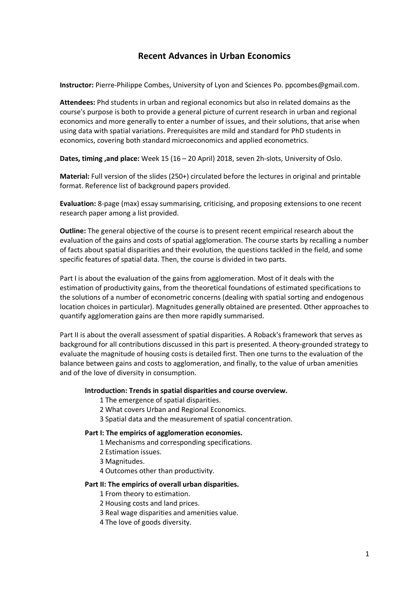# **Recent Advances in Urban Economics**

**Instructor:** Pierre-Philippe Combes, University of Lyon and Sciences Po. ppcombes@gmail.com.

**Attendees:** Phd students in urban and regional economics but also in related domains as the course's purpose is both to provide a general picture of current research in urban and regional economics and more generally to enter a number of issues, and their solutions, that arise when using data with spatial variations. Prerequisites are mild and standard for PhD students in economics, covering both standard microeconomics and applied econometrics.

**Dates, timing ,and place:** Week 15 (16 – 20 April) 2018, seven 2h-slots, University of Oslo.

**Material:** Full version of the slides (250+) circulated before the lectures in original and printable format. Reference list of background papers provided.

**Evaluation:** 8-page (max) essay summarising, criticising, and proposing extensions to one recent research paper among a list provided.

**Outline:** The general objective of the course is to present recent empirical research about the evaluation of the gains and costs of spatial agglomeration. The course starts by recalling a number of facts about spatial disparities and their evolution, the questions tackled in the field, and some specific features of spatial data. Then, the course is divided in two parts.

Part I is about the evaluation of the gains from agglomeration. Most of it deals with the estimation of productivity gains, from the theoretical foundations of estimated specifications to the solutions of a number of econometric concerns (dealing with spatial sorting and endogenous location choices in particular). Magnitudes generally obtained are presented. Other approaches to quantify agglomeration gains are then more rapidly summarised.

Part II is about the overall assessment of spatial disparities. A Roback's framework that serves as background for all contributions discussed in this part is presented. A theory-grounded strategy to evaluate the magnitude of housing costs is detailed first. Then one turns to the evaluation of the balance between gains and costs to agglomeration, and finally, to the value of urban amenities and of the love of diversity in consumption.

### **Introduction: Trends in spatial disparities and course overview.**

- 1 The emergence of spatial disparities.
- 2 What covers Urban and Regional Economics.
- 3 Spatial data and the measurement of spatial concentration.

### **Part I: The empirics of agglomeration economies.**

- 1 Mechanisms and corresponding specifications.
- 2 Estimation issues.
- 3 Magnitudes.
- 4 Outcomes other than productivity.

### **Part II: The empirics of overall urban disparities.**

1 From theory to estimation.

2 Housing costs and land prices.

- 3 Real wage disparities and amenities value.
- 4 The love of goods diversity.